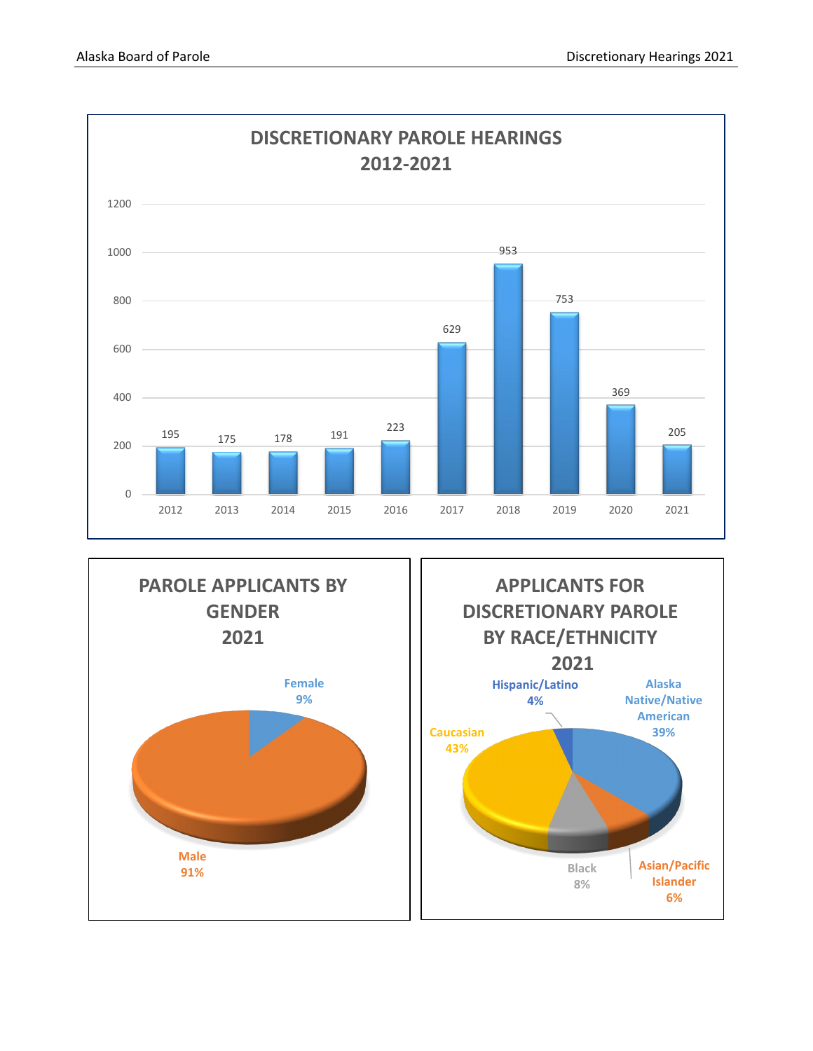



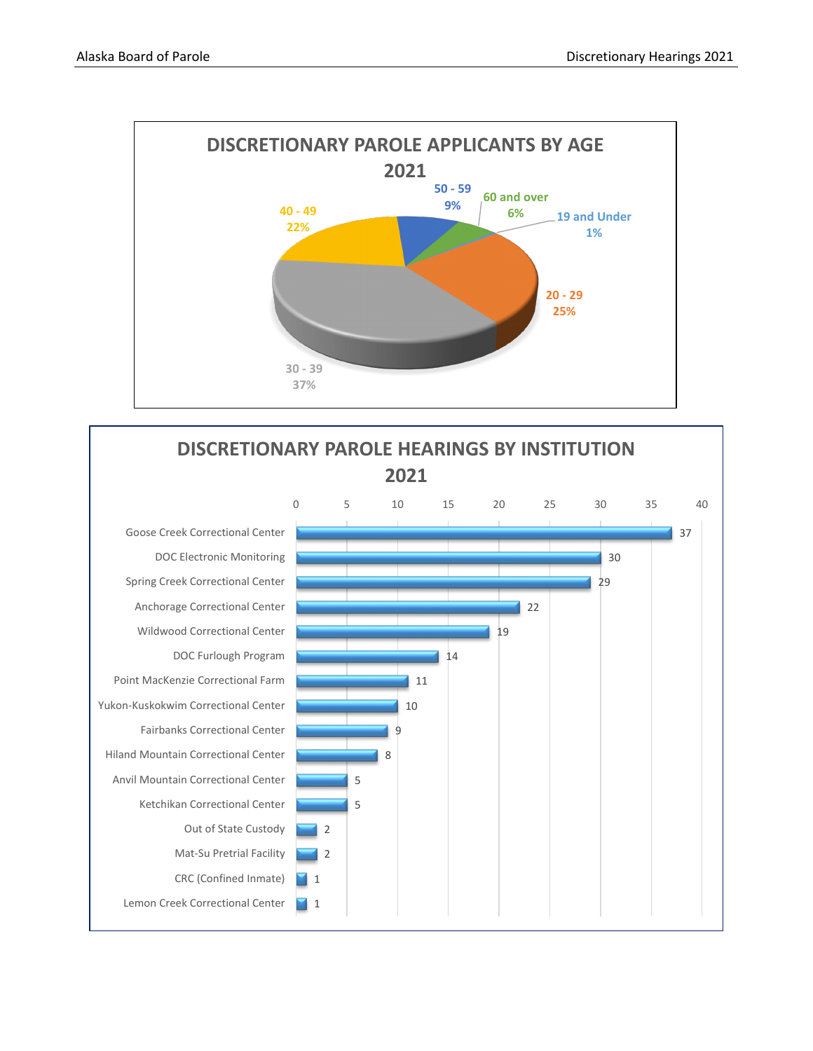

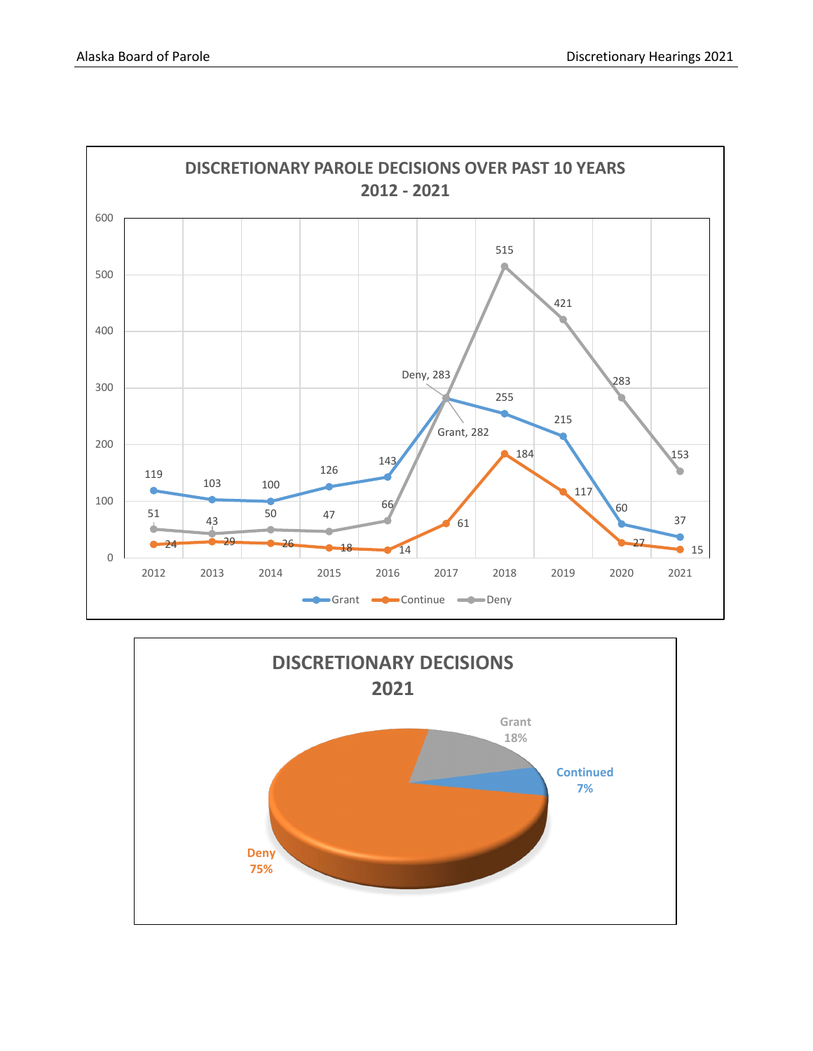

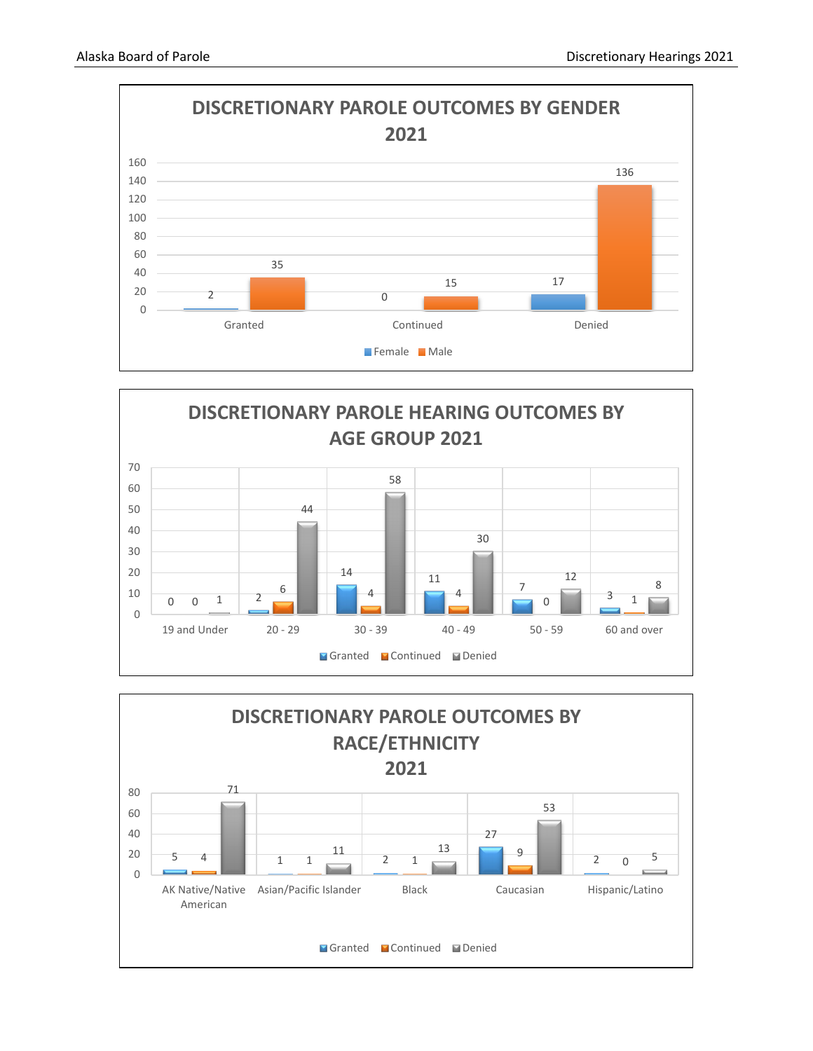